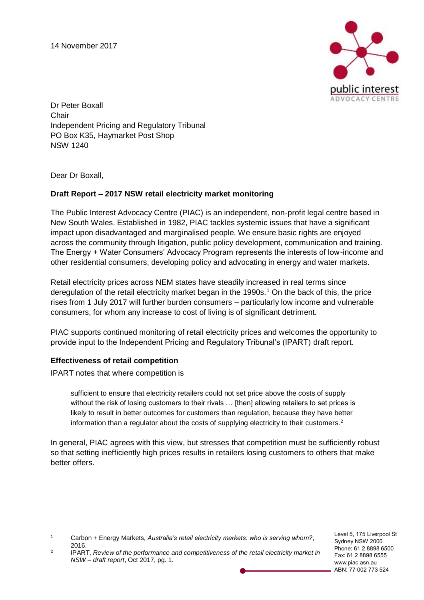14 November 2017



Dr Peter Boxall Chair Independent Pricing and Regulatory Tribunal PO Box K35, Haymarket Post Shop NSW 1240

Dear Dr Boxall,

### **Draft Report – 2017 NSW retail electricity market monitoring**

The Public Interest Advocacy Centre (PIAC) is an independent, non-profit legal centre based in New South Wales. Established in 1982, PIAC tackles systemic issues that have a significant impact upon disadvantaged and marginalised people. We ensure basic rights are enjoyed across the community through litigation, public policy development, communication and training. The Energy + Water Consumers' Advocacy Program represents the interests of low-income and other residential consumers, developing policy and advocating in energy and water markets.

Retail electricity prices across NEM states have steadily increased in real terms since deregulation of the retail electricity market began in the 1990s.<sup>1</sup> On the back of this, the price rises from 1 July 2017 will further burden consumers – particularly low income and vulnerable consumers, for whom any increase to cost of living is of significant detriment.

PIAC supports continued monitoring of retail electricity prices and welcomes the opportunity to provide input to the Independent Pricing and Regulatory Tribunal's (IPART) draft report.

#### **Effectiveness of retail competition**

IPART notes that where competition is

sufficient to ensure that electricity retailers could not set price above the costs of supply without the risk of losing customers to their rivals ... [then] allowing retailers to set prices is likely to result in better outcomes for customers than regulation, because they have better information than a regulator about the costs of supplying electricity to their customers. $2$ 

In general, PIAC agrees with this view, but stresses that competition must be sufficiently robust so that setting inefficiently high prices results in retailers losing customers to others that make better offers.

Level 5, 175 Liverpool St Sydney NSW 2000 Phone: 61 2 8898 6500 Fax: 61 2 8898 6555 www.piac.asn.au ABN: 77 002 773 524

 $\overline{1}$ <sup>1</sup> Carbon + Energy Markets, *Australia's retail electricity markets: who is serving whom?*, 2016.

<sup>2</sup> IPART, *Review of the performance and competitiveness of the retail electricity market in NSW – draft report*, Oct 2017, pg. 1.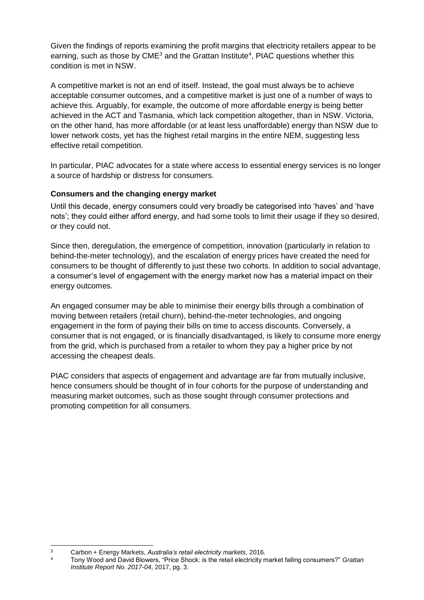Given the findings of reports examining the profit margins that electricity retailers appear to be earning, such as those by  $\text{CME}^3$  and the Grattan Institute<sup>4</sup>, PIAC questions whether this condition is met in NSW.

A competitive market is not an end of itself. Instead, the goal must always be to achieve acceptable consumer outcomes, and a competitive market is just one of a number of ways to achieve this. Arguably, for example, the outcome of more affordable energy is being better achieved in the ACT and Tasmania, which lack competition altogether, than in NSW. Victoria, on the other hand, has more affordable (or at least less unaffordable) energy than NSW due to lower network costs, yet has the highest retail margins in the entire NEM, suggesting less effective retail competition.

In particular, PIAC advocates for a state where access to essential energy services is no longer a source of hardship or distress for consumers.

### **Consumers and the changing energy market**

Until this decade, energy consumers could very broadly be categorised into 'haves' and 'have nots'; they could either afford energy, and had some tools to limit their usage if they so desired, or they could not.

Since then, deregulation, the emergence of competition, innovation (particularly in relation to behind-the-meter technology), and the escalation of energy prices have created the need for consumers to be thought of differently to just these two cohorts. In addition to social advantage, a consumer's level of engagement with the energy market now has a material impact on their energy outcomes.

An engaged consumer may be able to minimise their energy bills through a combination of moving between retailers (retail churn), behind-the-meter technologies, and ongoing engagement in the form of paying their bills on time to access discounts. Conversely, a consumer that is not engaged, or is financially disadvantaged, is likely to consume more energy from the grid, which is purchased from a retailer to whom they pay a higher price by not accessing the cheapest deals.

PIAC considers that aspects of engagement and advantage are far from mutually inclusive, hence consumers should be thought of in four cohorts for the purpose of understanding and measuring market outcomes, such as those sought through consumer protections and promoting competition for all consumers.

 $\overline{3}$ <sup>3</sup> Carbon + Energy Markets, *Australia's retail electricity markets*, 2016.

<sup>4</sup> Tony Wood and David Blowers, "Price Shock: is the retail electricity market failing consumers?" *Grattan Institute Report No. 2017-04*, 2017, pg. 3.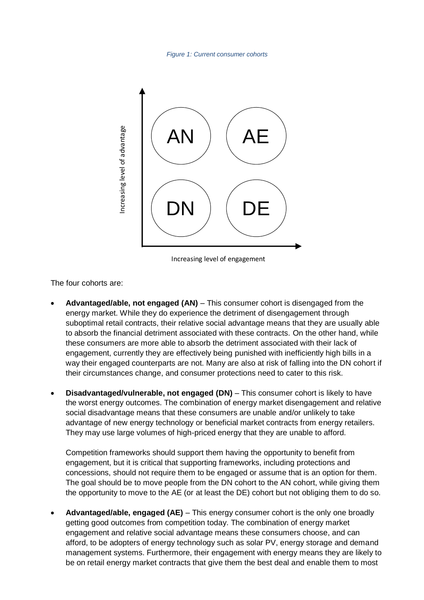*Figure 1: Current consumer cohorts*



Increasing level of engagement

The four cohorts are:

- **Advantaged/able, not engaged (AN)** This consumer cohort is disengaged from the energy market. While they do experience the detriment of disengagement through suboptimal retail contracts, their relative social advantage means that they are usually able to absorb the financial detriment associated with these contracts. On the other hand, while these consumers are more able to absorb the detriment associated with their lack of engagement, currently they are effectively being punished with inefficiently high bills in a way their engaged counterparts are not. Many are also at risk of falling into the DN cohort if their circumstances change, and consumer protections need to cater to this risk. **Example 19 (CAN)**<br>
The creasing level of engagement<br>
Example 2020<br>
Movembers are:<br>
Advantaged/able, not engaged (AN) – This consumer cohort is disengaged from the<br>
morphy market UNIie they do sportions the detirment assoc
- **Disadvantaged/vulnerable, not engaged (DN)** This consumer cohort is likely to have the worst energy outcomes. The combination of energy market disengagement and relative social disadvantage means that these consumers are unable and/or unlikely to take advantage of new energy technology or beneficial market contracts from energy retailers. They may use large volumes of high-priced energy that they are unable to afford.

Competition frameworks should support them having the opportunity to benefit from engagement, but it is critical that supporting frameworks, including protections and concessions, should not require them to be engaged or assume that is an option for them. The goal should be to move people from the DN cohort to the AN cohort, while giving them the opportunity to move to the AE (or at least the DE) cohort but not obliging them to do so.

• **Advantaged/able, engaged (AE)** – This energy consumer cohort is the only one broadly getting good outcomes from competition today. The combination of energy market engagement and relative social advantage means these consumers choose, and can afford, to be adopters of energy technology such as solar PV, energy storage and demand management systems. Furthermore, their engagement with energy means they are likely to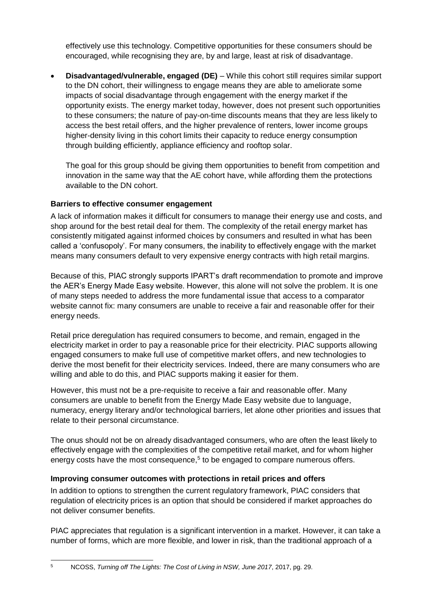effectively use this technology. Competitive opportunities for these consumers should be encouraged, while recognising they are, by and large, least at risk of disadvantage.

• **Disadvantaged/vulnerable, engaged (DE)** – While this cohort still requires similar support to the DN cohort, their willingness to engage means they are able to ameliorate some impacts of social disadvantage through engagement with the energy market if the opportunity exists. The energy market today, however, does not present such opportunities to these consumers; the nature of pay-on-time discounts means that they are less likely to access the best retail offers, and the higher prevalence of renters, lower income groups higher-density living in this cohort limits their capacity to reduce energy consumption through building efficiently, appliance efficiency and rooftop solar.

The goal for this group should be giving them opportunities to benefit from competition and innovation in the same way that the AE cohort have, while affording them the protections available to the DN cohort.

# **Barriers to effective consumer engagement**

A lack of information makes it difficult for consumers to manage their energy use and costs, and shop around for the best retail deal for them. The complexity of the retail energy market has consistently mitigated against informed choices by consumers and resulted in what has been called a 'confusopoly'. For many consumers, the inability to effectively engage with the market means many consumers default to very expensive energy contracts with high retail margins.

Because of this, PIAC strongly supports IPART's draft recommendation to promote and improve the AER's Energy Made Easy website. However, this alone will not solve the problem. It is one of many steps needed to address the more fundamental issue that access to a comparator website cannot fix: many consumers are unable to receive a fair and reasonable offer for their energy needs.

Retail price deregulation has required consumers to become, and remain, engaged in the electricity market in order to pay a reasonable price for their electricity. PIAC supports allowing engaged consumers to make full use of competitive market offers, and new technologies to derive the most benefit for their electricity services. Indeed, there are many consumers who are willing and able to do this, and PIAC supports making it easier for them.

However, this must not be a pre-requisite to receive a fair and reasonable offer. Many consumers are unable to benefit from the Energy Made Easy website due to language, numeracy, energy literary and/or technological barriers, let alone other priorities and issues that relate to their personal circumstance.

The onus should not be on already disadvantaged consumers, who are often the least likely to effectively engage with the complexities of the competitive retail market, and for whom higher energy costs have the most consequence,<sup>5</sup> to be engaged to compare numerous offers.

## **Improving consumer outcomes with protections in retail prices and offers**

In addition to options to strengthen the current regulatory framework, PIAC considers that regulation of electricity prices is an option that should be considered if market approaches do not deliver consumer benefits.

PIAC appreciates that regulation is a significant intervention in a market. However, it can take a number of forms, which are more flexible, and lower in risk, than the traditional approach of a

<sup>5</sup> NCOSS, *Turning off The Lights: The Cost of Living in NSW, June 2017*, 2017, pg. 29.

 $\overline{5}$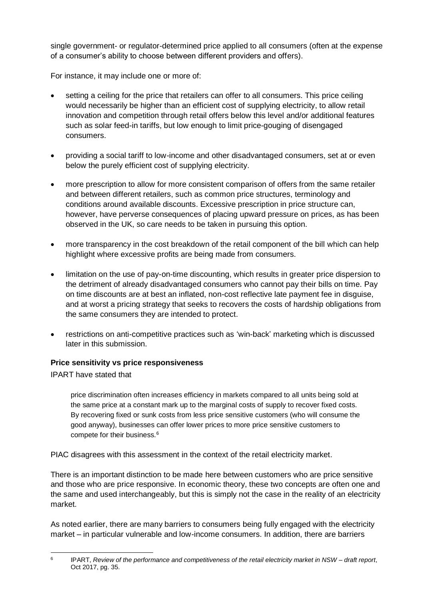single government- or regulator-determined price applied to all consumers (often at the expense of a consumer's ability to choose between different providers and offers).

For instance, it may include one or more of:

- setting a ceiling for the price that retailers can offer to all consumers. This price ceiling would necessarily be higher than an efficient cost of supplying electricity, to allow retail innovation and competition through retail offers below this level and/or additional features such as solar feed-in tariffs, but low enough to limit price-gouging of disengaged consumers.
- providing a social tariff to low-income and other disadvantaged consumers, set at or even below the purely efficient cost of supplying electricity.
- more prescription to allow for more consistent comparison of offers from the same retailer and between different retailers, such as common price structures, terminology and conditions around available discounts. Excessive prescription in price structure can, however, have perverse consequences of placing upward pressure on prices, as has been observed in the UK, so care needs to be taken in pursuing this option.
- more transparency in the cost breakdown of the retail component of the bill which can help highlight where excessive profits are being made from consumers.
- limitation on the use of pay-on-time discounting, which results in greater price dispersion to the detriment of already disadvantaged consumers who cannot pay their bills on time. Pay on time discounts are at best an inflated, non-cost reflective late payment fee in disguise, and at worst a pricing strategy that seeks to recovers the costs of hardship obligations from the same consumers they are intended to protect.
- restrictions on anti-competitive practices such as 'win-back' marketing which is discussed later in this submission.

## **Price sensitivity vs price responsiveness**

IPART have stated that

price discrimination often increases efficiency in markets compared to all units being sold at the same price at a constant mark up to the marginal costs of supply to recover fixed costs. By recovering fixed or sunk costs from less price sensitive customers (who will consume the good anyway), businesses can offer lower prices to more price sensitive customers to compete for their business.<sup>6</sup>

PIAC disagrees with this assessment in the context of the retail electricity market.

There is an important distinction to be made here between customers who are price sensitive and those who are price responsive. In economic theory, these two concepts are often one and the same and used interchangeably, but this is simply not the case in the reality of an electricity market.

As noted earlier, there are many barriers to consumers being fully engaged with the electricity market – in particular vulnerable and low-income consumers. In addition, there are barriers

 6 IPART, *Review of the performance and competitiveness of the retail electricity market in NSW – draft report*, Oct 2017, pg. 35.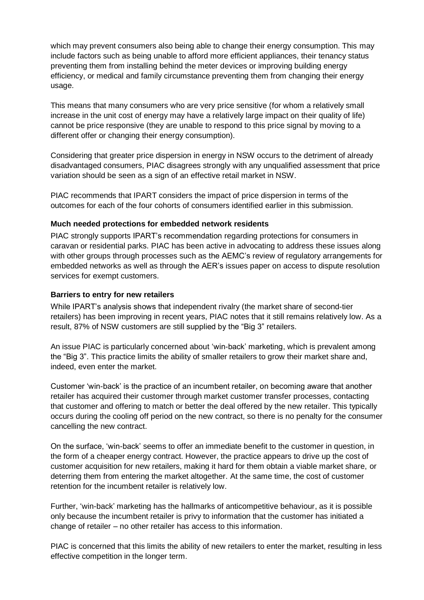which may prevent consumers also being able to change their energy consumption. This may include factors such as being unable to afford more efficient appliances, their tenancy status preventing them from installing behind the meter devices or improving building energy efficiency, or medical and family circumstance preventing them from changing their energy usage.

This means that many consumers who are very price sensitive (for whom a relatively small increase in the unit cost of energy may have a relatively large impact on their quality of life) cannot be price responsive (they are unable to respond to this price signal by moving to a different offer or changing their energy consumption).

Considering that greater price dispersion in energy in NSW occurs to the detriment of already disadvantaged consumers, PIAC disagrees strongly with any unqualified assessment that price variation should be seen as a sign of an effective retail market in NSW.

PIAC recommends that IPART considers the impact of price dispersion in terms of the outcomes for each of the four cohorts of consumers identified earlier in this submission.

#### **Much needed protections for embedded network residents**

PIAC strongly supports IPART's recommendation regarding protections for consumers in caravan or residential parks. PIAC has been active in advocating to address these issues along with other groups through processes such as the AEMC's review of regulatory arrangements for embedded networks as well as through the AER's issues paper on access to dispute resolution services for exempt customers.

#### **Barriers to entry for new retailers**

While IPART's analysis shows that independent rivalry (the market share of second-tier retailers) has been improving in recent years, PIAC notes that it still remains relatively low. As a result, 87% of NSW customers are still supplied by the "Big 3" retailers.

An issue PIAC is particularly concerned about 'win-back' marketing, which is prevalent among the "Big 3". This practice limits the ability of smaller retailers to grow their market share and, indeed, even enter the market.

Customer 'win-back' is the practice of an incumbent retailer, on becoming aware that another retailer has acquired their customer through market customer transfer processes, contacting that customer and offering to match or better the deal offered by the new retailer. This typically occurs during the cooling off period on the new contract, so there is no penalty for the consumer cancelling the new contract.

On the surface, 'win-back' seems to offer an immediate benefit to the customer in question, in the form of a cheaper energy contract. However, the practice appears to drive up the cost of customer acquisition for new retailers, making it hard for them obtain a viable market share, or deterring them from entering the market altogether. At the same time, the cost of customer retention for the incumbent retailer is relatively low.

Further, 'win-back' marketing has the hallmarks of anticompetitive behaviour, as it is possible only because the incumbent retailer is privy to information that the customer has initiated a change of retailer – no other retailer has access to this information.

PIAC is concerned that this limits the ability of new retailers to enter the market, resulting in less effective competition in the longer term.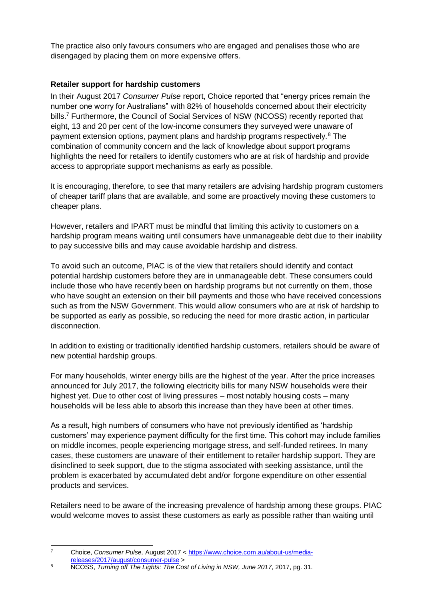The practice also only favours consumers who are engaged and penalises those who are disengaged by placing them on more expensive offers.

### **Retailer support for hardship customers**

In their August 2017 *Consumer Pulse* report, Choice reported that "energy prices remain the number one worry for Australians" with 82% of households concerned about their electricity bills.<sup>7</sup> Furthermore, the Council of Social Services of NSW (NCOSS) recently reported that eight, 13 and 20 per cent of the low-income consumers they surveyed were unaware of payment extension options, payment plans and hardship programs respectively.<sup>8</sup> The combination of community concern and the lack of knowledge about support programs highlights the need for retailers to identify customers who are at risk of hardship and provide access to appropriate support mechanisms as early as possible.

It is encouraging, therefore, to see that many retailers are advising hardship program customers of cheaper tariff plans that are available, and some are proactively moving these customers to cheaper plans.

However, retailers and IPART must be mindful that limiting this activity to customers on a hardship program means waiting until consumers have unmanageable debt due to their inability to pay successive bills and may cause avoidable hardship and distress.

To avoid such an outcome, PIAC is of the view that retailers should identify and contact potential hardship customers before they are in unmanageable debt. These consumers could include those who have recently been on hardship programs but not currently on them, those who have sought an extension on their bill payments and those who have received concessions such as from the NSW Government. This would allow consumers who are at risk of hardship to be supported as early as possible, so reducing the need for more drastic action, in particular disconnection.

In addition to existing or traditionally identified hardship customers, retailers should be aware of new potential hardship groups.

For many households, winter energy bills are the highest of the year. After the price increases announced for July 2017, the following electricity bills for many NSW households were their highest yet. Due to other cost of living pressures – most notably housing costs – many households will be less able to absorb this increase than they have been at other times.

As a result, high numbers of consumers who have not previously identified as 'hardship customers' may experience payment difficulty for the first time. This cohort may include families on middle incomes, people experiencing mortgage stress, and self-funded retirees. In many cases, these customers are unaware of their entitlement to retailer hardship support. They are disinclined to seek support, due to the stigma associated with seeking assistance, until the problem is exacerbated by accumulated debt and/or forgone expenditure on other essential products and services.

Retailers need to be aware of the increasing prevalence of hardship among these groups. PIAC would welcome moves to assist these customers as early as possible rather than waiting until

 $\overline{7}$ <sup>7</sup> Choice, *Consumer Pulse,* August 2017 < [https://www.choice.com.au/about-us/media](https://www.choice.com.au/about-us/media-releases/2017/august/consumer-pulse)[releases/2017/august/consumer-pulse](https://www.choice.com.au/about-us/media-releases/2017/august/consumer-pulse) >

<sup>8</sup> NCOSS, *Turning off The Lights: The Cost of Living in NSW, June 2017*, 2017, pg. 31.